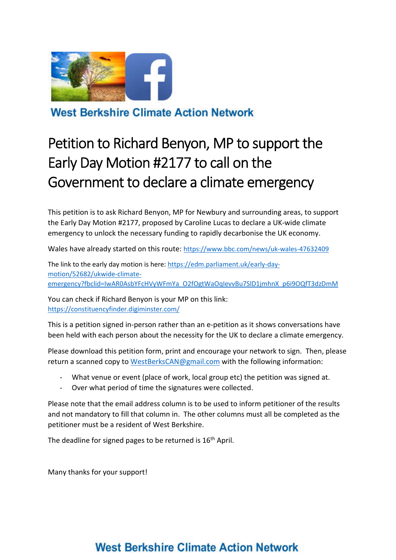

**West Berkshire Climate Action Network** 

# Petition to Richard Benyon, MP to support the Early Day Motion #2177 to call on the Government to declare a climate emergency

This petition is to ask Richard Benyon, MP for Newbury and surrounding areas, to support the Early Day Motion #2177, proposed by Caroline Lucas to declare a UK-wide climate emergency to unlock the necessary funding to rapidly decarbonise the UK economy.

Wales have already started on this route: https://www.bbc.com/news/uk-wales-47632409

The link to the early day motion is here: https://edm.parliament.uk/early-daymotion/52682/ukwide-climateemergency?fbclid=IwAR0AsbYFcHVyWFmYa\_O2fOgtWaOqIevvBu7SlD1jmhnX\_p6i9OQfT3dzDmM

You can check if Richard Benyon is your MP on this link: https://constituencyfinder.digiminster.com/

This is a petition signed in-person rather than an e-petition as it shows conversations have been held with each person about the necessity for the UK to declare a climate emergency.

Please download this petition form, print and encourage your network to sign. Then, please return a scanned copy to WestBerksCAN@gmail.com with the following information:

- What venue or event (place of work, local group etc) the petition was signed at.
- Over what period of time the signatures were collected.

Please note that the email address column is to be used to inform petitioner of the results and not mandatory to fill that column in. The other columns must all be completed as the petitioner must be a resident of West Berkshire.

The deadline for signed pages to be returned is 16<sup>th</sup> April.

Many thanks for your support!

# West Berkshire Climate Action Network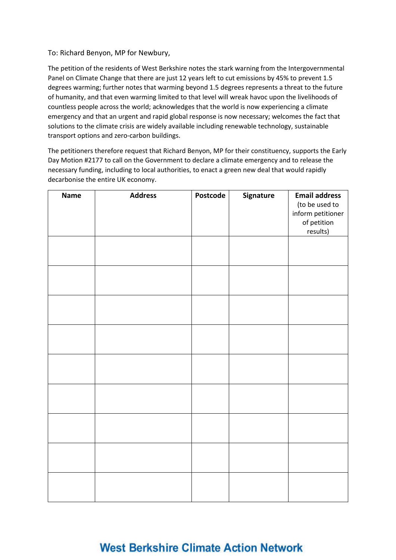#### To: Richard Benyon, MP for Newbury,

The petition of the residents of West Berkshire notes the stark warning from the Intergovernmental Panel on Climate Change that there are just 12 years left to cut emissions by 45% to prevent 1.5 degrees warming; further notes that warming beyond 1.5 degrees represents a threat to the future of humanity, and that even warming limited to that level will wreak havoc upon the livelihoods of countless people across the world; acknowledges that the world is now experiencing a climate emergency and that an urgent and rapid global response is now necessary; welcomes the fact that solutions to the climate crisis are widely available including renewable technology, sustainable transport options and zero-carbon buildings.

The petitioners therefore request that Richard Benyon, MP for their constituency, supports the Early Day Motion #2177 to call on the Government to declare a climate emergency and to release the necessary funding, including to local authorities, to enact a green new deal that would rapidly decarbonise the entire UK economy.

| <b>Name</b> | <b>Address</b> | Postcode | Signature | <b>Email address</b> |
|-------------|----------------|----------|-----------|----------------------|
|             |                |          |           | (to be used to       |
|             |                |          |           | inform petitioner    |
|             |                |          |           | of petition          |
|             |                |          |           | results)             |
|             |                |          |           |                      |
|             |                |          |           |                      |
|             |                |          |           |                      |
|             |                |          |           |                      |
|             |                |          |           |                      |
|             |                |          |           |                      |
|             |                |          |           |                      |
|             |                |          |           |                      |
|             |                |          |           |                      |
|             |                |          |           |                      |
|             |                |          |           |                      |
|             |                |          |           |                      |
|             |                |          |           |                      |
|             |                |          |           |                      |
|             |                |          |           |                      |
|             |                |          |           |                      |
|             |                |          |           |                      |
|             |                |          |           |                      |
|             |                |          |           |                      |
|             |                |          |           |                      |
|             |                |          |           |                      |
|             |                |          |           |                      |
|             |                |          |           |                      |
|             |                |          |           |                      |
|             |                |          |           |                      |
|             |                |          |           |                      |
|             |                |          |           |                      |

### **West Berkshire Climate Action Network**